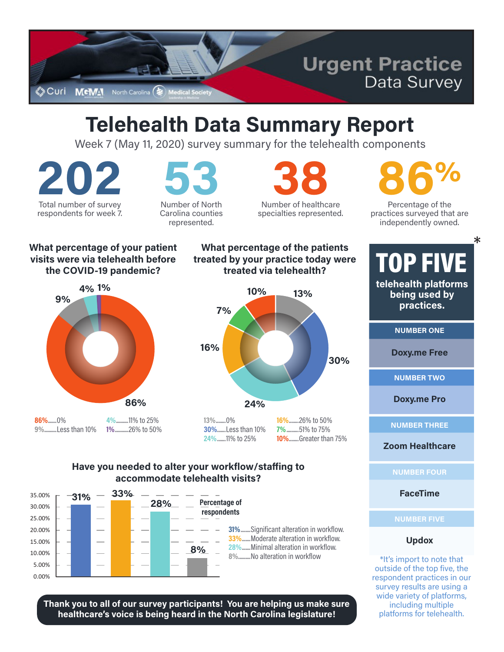

## **Telehealth Data Summary Report**

Week 7 (May 11, 2020) survey summary for the telehealth components

Total number of survey respondents for week 7.

Number of North Carolina counties

represented.

Number of healthcare specialties represented.

Percentage of the practices surveyed that are independently owned.

 $\ast$ 

#### What percentage of your patient visits were via telehealth before the COVID-19 pandemic?





13%........0% 30%.......Less than 10% 24%.......11% to 25%

16% 26% to 50%  $7%$ ..51% to 75% 10%........Greater than 75%

### Have you needed to alter your workflow/staffing to accommodate telehealth visits?



Thank you to all of our survey participants! You are helping us make sure healthcare's voice is being heard in the North Carolina legislature!

#### What percentage of the patients **TOP FIVE** treated by your practice today were

telehealth platforms being used by practices.

**NUMBER ONE** 

**Doxy.me Free** 

**NUMBER TWO** 

**Doxy.me Pro** 

**NUMBER THREE** 

**Zoom Healthcare** 

**NUMBER FOUR** 

**FaceTime** 

**NUMBER FIVE** 

#### **Updox**

\*It's import to note that outside of the top five, the respondent practices in our survey results are using a wide variety of platforms, including multiple platforms for telehealth.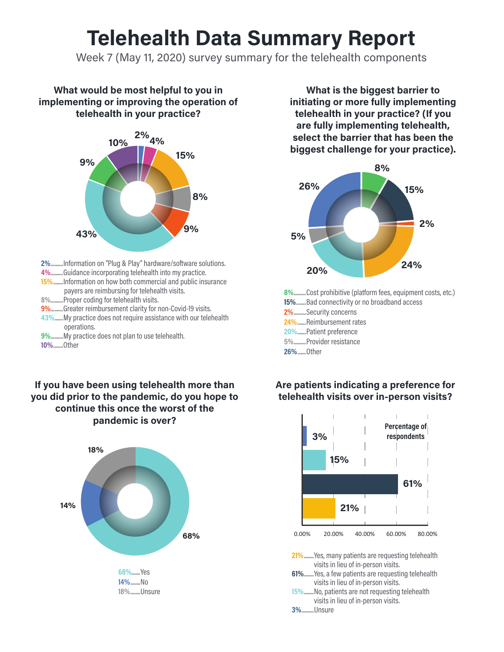## **Telehealth Data Summary Report**

Week 7 (May 11, 2020) survey summary for the telehealth components

#### What would be most helpful to you in implementing or improving the operation of telehealth in your practice?



2%..........Information on "Plug & Play" hardware/software solutions.

- 4%.........Guidance incorporating telehealth into my practice.
- 15%........Information on how both commercial and public insurance payers are reimbursing for telehealth visits.
- 8%..........Proper coding for telehealth visits.
- 9%.........Greater reimbursement clarity for non-Covid-19 visits.
- 43%......My practice does not require assistance with our telehealth operations.

9%..........My practice does not plan to use telehealth. 10%........Other

If you have been using telehealth more than you did prior to the pandemic, do you hope to continue this once the worst of the pandemic is over?



What is the biggest barrier to initiating or more fully implementing telehealth in your practice? (If you are fully implementing telehealth, select the barrier that has been the biggest challenge for your practice).



8%..........Cost prohibitive (platform fees, equipment costs, etc.) 15%........Bad connectivity or no broadband access 2%.........Security concerns 24%.......Reimbursement rates 20%.......Patient preference 5%..........Provider resistance



15%........No, patients are not requesting telehealth visits in lieu of in-person visits.

3%.........Unsure

### Are patients indicating a preference for telehealth visits over in-person visits?

<sup>26%.......</sup>Other